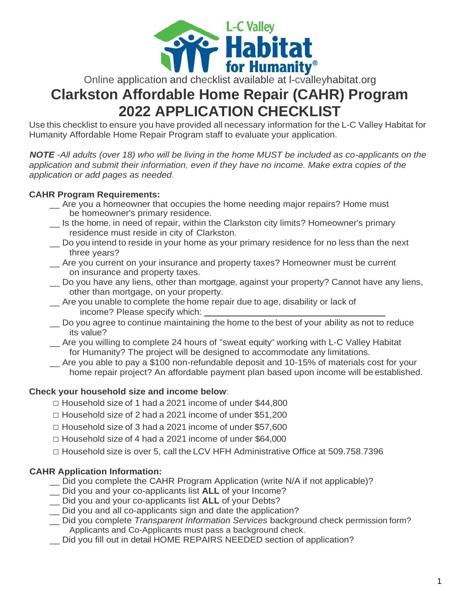

# **Clarkston Affordable Home Repair (CAHR) Program 2022 APPLICATION CHECKLIST**

Use this checklist to ensure you have provided all necessary information for the L-C Valley Habitat for Humanity Affordable Home Repair Program staff to evaluate your application.

*NOTE -All adults (over 18) who will be living in the home MUST be included as co-applicants on the application and submit their information, even if they have no income. Make extra copies of the application or add pages as needed.*

## **CAHR Program Requirements:**

- Are you a homeowner that occupies the home needing major repairs? Home must be homeowner's primary residence.
- \_\_ Is the home, in need of repair, within the Clarkston city limits? Homeowner's primary residence must reside in city of Clarkston.
- Do you intend to reside in your home as your primary residence for no less than the next three years?
- \_\_ Are you current on your insurance and property taxes? Homeowner must be current on insurance and property taxes.
- \_\_ Do you have any liens, other than mortgage, against your property? Cannot have any liens, other than mortgage, on your property.
- \_\_ Are you unable to complete the home repair due to age, disability or lack of income? Please specify which:
- \_\_ Do you agree to continue maintaining the home to the best of your ability as not to reduce its value?
- \_\_ Are you willing to complete 24 hours of "sweat equity" working with L-C Valley Habitat for Humanity? The project will be designed to accommodate any limitations.
- \_\_ Are you able to pay a \$100 non-refundable deposit and 10-15% of materials cost for your home repair project? An affordable payment plan based upon income will be established.

## **Check your household size and income below**:

- $\Box$  Household size of 1 had a 2021 income of under \$44,800
- $\Box$  Household size of 2 had a 2021 income of under \$51,200
- □ Household size of 3 had a 2021 income of under \$57,600
- $\Box$  Household size of 4 had a 2021 income of under \$64,000
- $\Box$  Household size is over 5, call the LCV HFH Administrative Office at 509.758.7396

# **CAHR Application Information:**

- \_\_ Did you complete the CAHR Program Application (write N/A if not applicable)?
- \_\_ Did you and your co-applicants list **ALL** of your Income?
- \_\_ Did you and your co-applicants list **ALL** of your Debts?
- \_\_ Did you and all co-applicants sign and date the application?
- \_\_ Did you complete *Transparent Information Services* background check permission form? Applicants and Co-Applicants must pass a background check.
- \_\_ Did you fill out in detail HOME REPAIRS NEEDED section of application?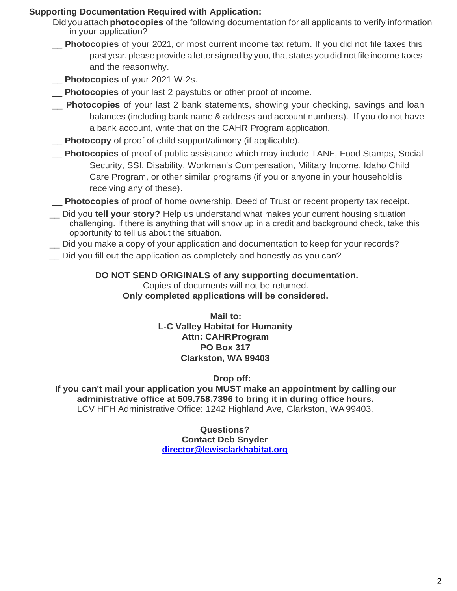## **Supporting Documentation Required with Application:**

- Did you attach **photocopies** of the following documentation for all applicants to verify information in your application?
- \_\_ **Photocopies** of your 2021, or most current income tax return. If you did not file taxes this past year, please provide a letter signed by you, that states youdid not fileincome taxes and the reasonwhy.
- **Photocopies** of your 2021 W-2s.
- **Photocopies** of your last 2 paystubs or other proof of income.
- \_\_ **Photocopies** of your last 2 bank statements, showing your checking, savings and loan balances (including bank name & address and account numbers). If you do not have a bank account, write that on the CAHR Program application.
- **Photocopy** of proof of child support/alimony (if applicable).
- \_\_ **Photocopies** of proof of public assistance which may include TANF, Food Stamps, Social Security, SSI, Disability, Workman's Compensation, Military Income, Idaho Child Care Program, or other similar programs (if you or anyone in your household is receiving any of these).
- \_\_ **Photocopies** of proof of home ownership. Deed of Trust or recent property tax receipt.
- \_\_ Did you **tell your story?** Help us understand what makes your current housing situation challenging. If there is anything that will show up in a credit and background check, take this opportunity to tell us about the situation.
- Did you make a copy of your application and documentation to keep for your records?
- Did you fill out the application as completely and honestly as you can?

**DO NOT SEND ORIGINALS of any supporting documentation.** Copies of documents will not be returned. **Only completed applications will be considered.**

> **Mail to: L-C Valley Habitat for Humanity Attn: CAHRProgram PO Box 317 Clarkston, WA 99403**

> > **Drop off:**

**If you can't mail your application you MUST make an appointment by calling our administrative office at 509.758.7396 to bring it in during office hours.** LCV HFH Administrative Office: 1242 Highland Ave, Clarkston, WA99403.

> **Questions? Contact Deb Snyder [director@lewisclarkhabitat.org](mailto:director@lewisclarkhabitat.org)**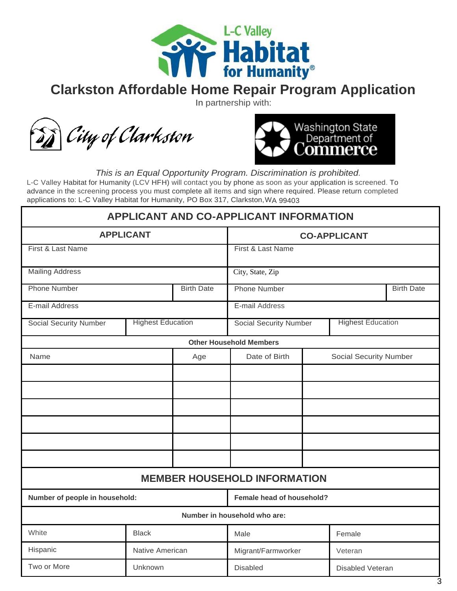

# **Clarkston Affordable Home Repair Program Application**

In partnership with:





*This is an Equal Opportunity Program. Discrimination is prohibited.*

L-C Valley Habitat for Humanity (LCV HFH) will contact you by phone as soon as your application is screened. To advance in the screening process you must complete all items and sign where required. Please return completed applications to: L-C Valley Habitat for Humanity, PO Box 317, Clarkston,WA 99403

|                                |                          |                   | <b>APPLICANT AND CO-APPLICANT INFORMATION</b> |                               |                   |
|--------------------------------|--------------------------|-------------------|-----------------------------------------------|-------------------------------|-------------------|
|                                | <b>APPLICANT</b>         |                   |                                               | <b>CO-APPLICANT</b>           |                   |
| First & Last Name              |                          |                   | First & Last Name                             |                               |                   |
| <b>Mailing Address</b>         |                          |                   | City, State, Zip                              |                               |                   |
| <b>Phone Number</b>            |                          | <b>Birth Date</b> | <b>Phone Number</b>                           |                               | <b>Birth Date</b> |
| E-mail Address                 |                          |                   | E-mail Address                                |                               |                   |
| <b>Social Security Number</b>  | <b>Highest Education</b> |                   | <b>Social Security Number</b>                 | <b>Highest Education</b>      |                   |
|                                |                          |                   | <b>Other Household Members</b>                |                               |                   |
| Name                           |                          | Age               | Date of Birth                                 | <b>Social Security Number</b> |                   |
|                                |                          |                   |                                               |                               |                   |
|                                |                          |                   |                                               |                               |                   |
|                                |                          |                   |                                               |                               |                   |
|                                |                          |                   |                                               |                               |                   |
|                                |                          |                   |                                               |                               |                   |
|                                |                          |                   |                                               |                               |                   |
|                                |                          |                   | <b>MEMBER HOUSEHOLD INFORMATION</b>           |                               |                   |
| Number of people in household: |                          |                   | Female head of household?                     |                               |                   |
|                                |                          |                   | Number in household who are:                  |                               |                   |
| White                          | <b>Black</b>             |                   | Male                                          | Female                        |                   |
| Hispanic                       | Native American          |                   | Migrant/Farmworker                            | Veteran                       |                   |
| Two or More                    | Unknown                  |                   | <b>Disabled</b>                               | <b>Disabled Veteran</b>       |                   |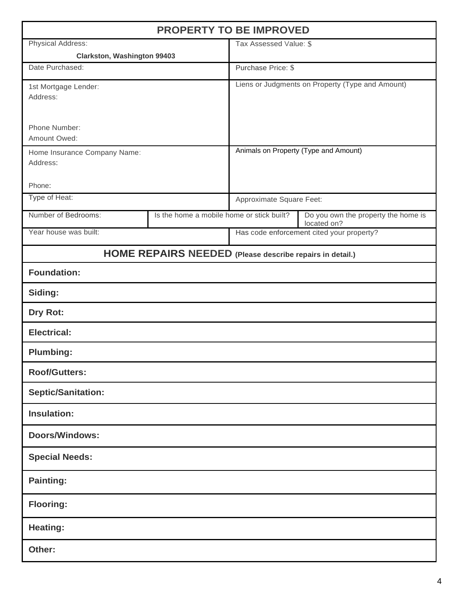|                                                       | <b>PROPERTY TO BE IMPROVED</b>                           |                          |                                                    |
|-------------------------------------------------------|----------------------------------------------------------|--------------------------|----------------------------------------------------|
| Physical Address:                                     |                                                          | Tax Assessed Value: \$   |                                                    |
| <b>Clarkston, Washington 99403</b><br>Date Purchased: |                                                          | Purchase Price: \$       |                                                    |
|                                                       |                                                          |                          |                                                    |
| 1st Mortgage Lender:<br>Address:                      |                                                          |                          | Liens or Judgments on Property (Type and Amount)   |
| Phone Number:<br>Amount Owed:                         |                                                          |                          |                                                    |
| Home Insurance Company Name:<br>Address:              |                                                          |                          | Animals on Property (Type and Amount)              |
| Phone:                                                |                                                          |                          |                                                    |
| Type of Heat:                                         |                                                          | Approximate Square Feet: |                                                    |
| Number of Bedrooms:                                   | Is the home a mobile home or stick built?                |                          | Do you own the property the home is<br>located on? |
| Year house was built:                                 |                                                          |                          | Has code enforcement cited your property?          |
|                                                       | HOME REPAIRS NEEDED (Please describe repairs in detail.) |                          |                                                    |
| <b>Foundation:</b>                                    |                                                          |                          |                                                    |
| Siding:                                               |                                                          |                          |                                                    |
| Dry Rot:                                              |                                                          |                          |                                                    |
| <b>Electrical:</b>                                    |                                                          |                          |                                                    |
| <b>Plumbing:</b>                                      |                                                          |                          |                                                    |
| <b>Roof/Gutters:</b>                                  |                                                          |                          |                                                    |
| <b>Septic/Sanitation:</b>                             |                                                          |                          |                                                    |
| <b>Insulation:</b>                                    |                                                          |                          |                                                    |
| <b>Doors/Windows:</b>                                 |                                                          |                          |                                                    |
| <b>Special Needs:</b>                                 |                                                          |                          |                                                    |
| <b>Painting:</b>                                      |                                                          |                          |                                                    |
| <b>Flooring:</b>                                      |                                                          |                          |                                                    |
| <b>Heating:</b>                                       |                                                          |                          |                                                    |
| Other:                                                |                                                          |                          |                                                    |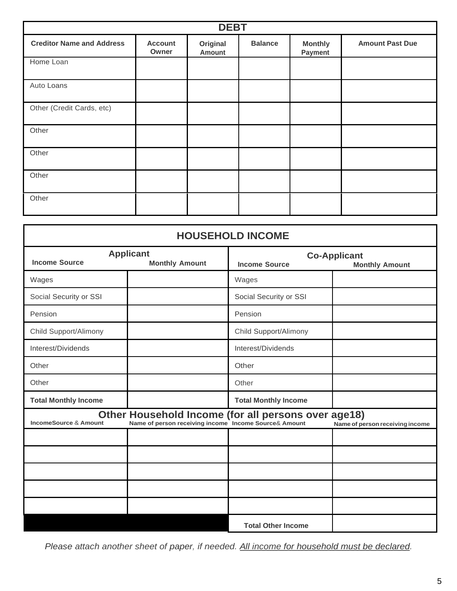|                                  |                         | <b>DEBT</b>               |                |                           |                        |
|----------------------------------|-------------------------|---------------------------|----------------|---------------------------|------------------------|
| <b>Creditor Name and Address</b> | <b>Account</b><br>Owner | Original<br><b>Amount</b> | <b>Balance</b> | <b>Monthly</b><br>Payment | <b>Amount Past Due</b> |
| Home Loan                        |                         |                           |                |                           |                        |
| Auto Loans                       |                         |                           |                |                           |                        |
| Other (Credit Cards, etc)        |                         |                           |                |                           |                        |
| Other                            |                         |                           |                |                           |                        |
| Other                            |                         |                           |                |                           |                        |
| Other                            |                         |                           |                |                           |                        |
| Other                            |                         |                           |                |                           |                        |

|                                  |                                                                                                              | <b>HOUSEHOLD INCOME</b>     |                                              |
|----------------------------------|--------------------------------------------------------------------------------------------------------------|-----------------------------|----------------------------------------------|
| <b>Income Source</b>             | <b>Applicant</b><br><b>Monthly Amount</b>                                                                    | <b>Income Source</b>        | <b>Co-Applicant</b><br><b>Monthly Amount</b> |
| Wages                            |                                                                                                              | Wages                       |                                              |
| Social Security or SSI           |                                                                                                              | Social Security or SSI      |                                              |
| Pension                          |                                                                                                              | Pension                     |                                              |
| Child Support/Alimony            |                                                                                                              | Child Support/Alimony       |                                              |
| Interest/Dividends               |                                                                                                              | Interest/Dividends          |                                              |
| Other                            |                                                                                                              | Other                       |                                              |
| Other                            |                                                                                                              | Other                       |                                              |
| <b>Total Monthly Income</b>      |                                                                                                              | <b>Total Monthly Income</b> |                                              |
| <b>IncomeSource &amp; Amount</b> | Other Household Income (for all persons over age18)<br>Name of person receiving income Income Source& Amount |                             | Name of person receiving income              |
|                                  |                                                                                                              |                             |                                              |
|                                  |                                                                                                              |                             |                                              |
|                                  |                                                                                                              |                             |                                              |
|                                  |                                                                                                              |                             |                                              |
|                                  |                                                                                                              |                             |                                              |
|                                  |                                                                                                              | <b>Total Other Income</b>   |                                              |

*Please attach another sheet of paper, if needed. All income for household must be declared.*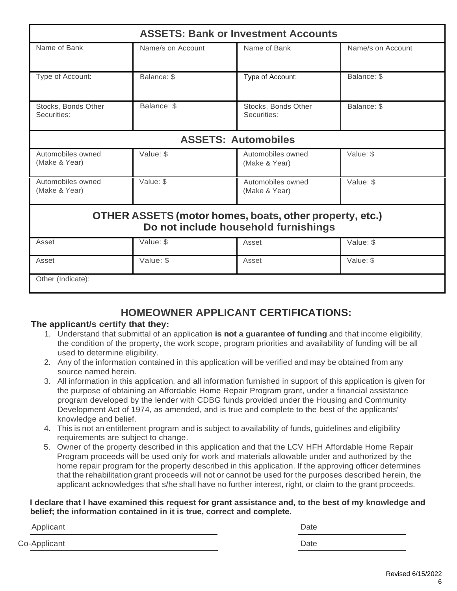|                                    |                   | <b>ASSETS: Bank or Investment Accounts</b>                                                             |                   |
|------------------------------------|-------------------|--------------------------------------------------------------------------------------------------------|-------------------|
| Name of Bank                       | Name/s on Account | Name of Bank                                                                                           | Name/s on Account |
| Type of Account:                   | Balance: \$       | Type of Account:                                                                                       | Balance: \$       |
| Stocks, Bonds Other<br>Securities: | Balance: \$       | Stocks, Bonds Other<br>Securities:                                                                     | Balance: \$       |
|                                    |                   | <b>ASSETS: Automobiles</b>                                                                             |                   |
| Automobiles owned<br>(Make & Year) | Value: \$         | Automobiles owned<br>(Make & Year)                                                                     | Value: \$         |
| Automobiles owned<br>(Make & Year) | Value: \$         | Automobiles owned<br>(Make & Year)                                                                     | Value: \$         |
|                                    |                   | <b>OTHER ASSETS (motor homes, boats, other property, etc.)</b><br>Do not include household furnishings |                   |
| Asset                              | Value: \$         | Asset                                                                                                  | Value: \$         |
| Asset                              | Value: \$         | Asset                                                                                                  | Value: \$         |
| Other (Indicate):                  |                   |                                                                                                        |                   |

# **HOMEOWNER APPLICANT CERTIFICATIONS:**

## **The applicant/s certify that they:**

- 1. Understand that submittal of an application **is not a guarantee of funding** and that income eligibility, the condition of the property, the work scope, program priorities and availability of funding will be all used to determine eligibility.
- 2. Any of the information contained in this application will be verified and may be obtained from any source named herein.
- 3. All information in this application, and all information furnished in support of this application is given for the purpose of obtaining an Affordable Home Repair Program grant, under a financial assistance program developed by the lender with CDBG funds provided under the Housing and Community Development Act of 1974, as amended, and is true and complete to the best of the applicants' knowledge and belief.
- 4. This is not an entitlement program and is subject to availability of funds, guidelines and eligibility requirements are subject to change.
- 5. Owner of the property described in this application and that the LCV HFH Affordable Home Repair Program proceeds will be used only for work and materials allowable under and authorized by the home repair program for the property described in this application. If the approving officer determines that the rehabilitation grant proceeds will not or cannot be used for the purposes described herein, the applicant acknowledges that s/he shall have no further interest, right, or claim to the grant proceeds.

#### **I declare that I have examined this request for grant assistance and, to the best of my knowledge and belief; the information contained in it is true, correct and complete.**

Applicant Date **Date** 

Co-Applicant Date **Date**